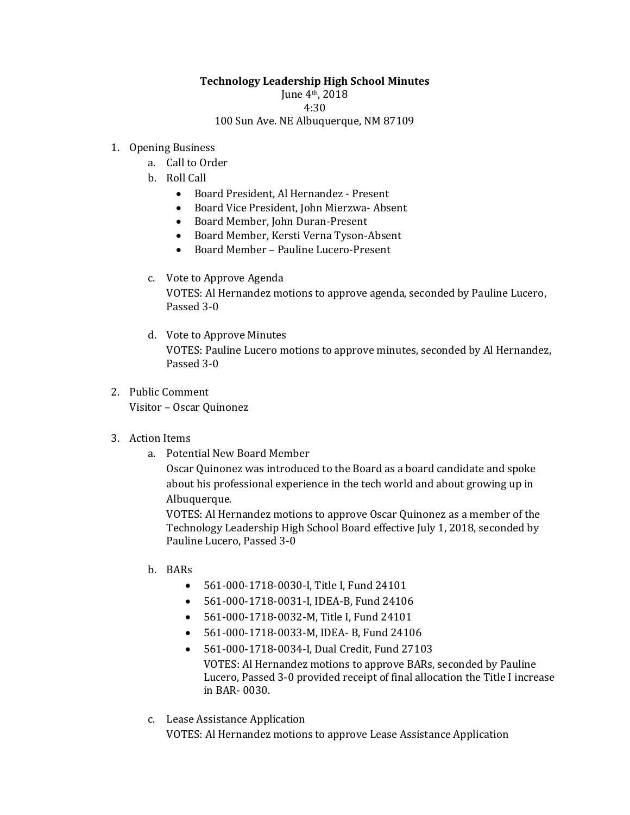## **Technology Leadership High School Minutes**

June 4th, 2018

4:30

100 Sun Ave. NE Albuquerque, NM 87109

## 1. Opening Business

- a. Call to Order
- b. Roll Call
	- Board President, Al Hernandez Present
	- Board Vice President, John Mierzwa- Absent
	- Board Member, John Duran-Present
	- Board Member, Kersti Verna Tyson-Absent
	- Board Member Pauline Lucero-Present

## c. Vote to Approve Agenda

VOTES: Al Hernandez motions to approve agenda, seconded by Pauline Lucero, Passed 3-0

- d. Vote to Approve Minutes VOTES: Pauline Lucero motions to approve minutes, seconded by Al Hernandez, Passed 3-0
- 2. Public Comment

Visitor – Oscar Quinonez

- 3. Action Items
	- a. Potential New Board Member

Oscar Quinonez was introduced to the Board as a board candidate and spoke about his professional experience in the tech world and about growing up in Albuquerque.

VOTES: Al Hernandez motions to approve Oscar Quinonez as a member of the Technology Leadership High School Board effective July 1, 2018, seconded by Pauline Lucero, Passed 3-0

- b. BARs
	- 561-000-1718-0030-I, Title I, Fund 24101
	- 561-000-1718-0031-I, IDEA-B, Fund 24106
	- 561-000-1718-0032-M, Title I, Fund 24101
	- 561-000-1718-0033-M, IDEA- B, Fund 24106
	- 561-000-1718-0034-I, Dual Credit, Fund 27103 VOTES: Al Hernandez motions to approve BARs, seconded by Pauline Lucero, Passed 3-0 provided receipt of final allocation the Title I increase in BAR- 0030.
- c. Lease Assistance Application

VOTES: Al Hernandez motions to approve Lease Assistance Application